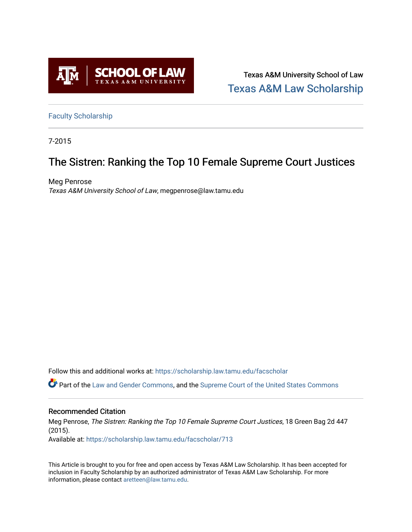

Texas A&M University School of Law [Texas A&M Law Scholarship](https://scholarship.law.tamu.edu/) 

[Faculty Scholarship](https://scholarship.law.tamu.edu/facscholar)

7-2015

## The Sistren: Ranking the Top 10 Female Supreme Court Justices

Meg Penrose Texas A&M University School of Law, megpenrose@law.tamu.edu

Follow this and additional works at: [https://scholarship.law.tamu.edu/facscholar](https://scholarship.law.tamu.edu/facscholar?utm_source=scholarship.law.tamu.edu%2Ffacscholar%2F713&utm_medium=PDF&utm_campaign=PDFCoverPages) 

Part of the [Law and Gender Commons,](http://network.bepress.com/hgg/discipline/1298?utm_source=scholarship.law.tamu.edu%2Ffacscholar%2F713&utm_medium=PDF&utm_campaign=PDFCoverPages) and the [Supreme Court of the United States Commons](http://network.bepress.com/hgg/discipline/1350?utm_source=scholarship.law.tamu.edu%2Ffacscholar%2F713&utm_medium=PDF&utm_campaign=PDFCoverPages)

#### Recommended Citation

Meg Penrose, The Sistren: Ranking the Top 10 Female Supreme Court Justices, 18 Green Bag 2d 447 (2015).

Available at: [https://scholarship.law.tamu.edu/facscholar/713](https://scholarship.law.tamu.edu/facscholar/713?utm_source=scholarship.law.tamu.edu%2Ffacscholar%2F713&utm_medium=PDF&utm_campaign=PDFCoverPages)

This Article is brought to you for free and open access by Texas A&M Law Scholarship. It has been accepted for inclusion in Faculty Scholarship by an authorized administrator of Texas A&M Law Scholarship. For more information, please contact [aretteen@law.tamu.edu](mailto:aretteen@law.tamu.edu).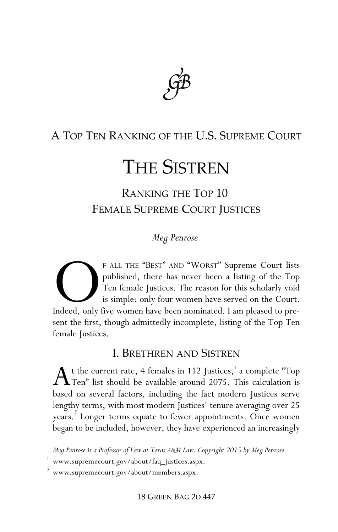

### A TOP TEN RANKING OF THE U.S. SUPREME COURT

# THE SISTREN

RANKING THE TOP 10 FEMALE SUPREME COURT JUSTICES

#### *Meg Penrose*†

F ALL THE "BEST" AND "WORST" Supreme Court lists published, there has never been a listing of the Top Ten female Justices. The reason for this scholarly void is simple: only four women have served on the Court. F ALL THE "BEST" AND "WORST" Supreme Court lists<br>published, there has never been a listing of the Top<br>Ten female Justices. The reason for this scholarly void<br>is simple: only four women have served on the Court.<br>Indeed, onl sent the first, though admittedly incomplete, listing of the Top Ten female Justices.

#### I. BRETHREN AND SISTREN

 $\Lambda$ <sup>t</sup> the current rate, 4 females in 112 Justices,<sup>1</sup> a complete "Top Ten" list should be available around 2075. This calculation is Ten" list should be available around 2075. This calculation is based on several factors, including the fact modern Justices serve lengthy terms, with most modern Justices' tenure averaging over 25 years.<sup>2</sup> Longer terms equate to fewer appointments. Once women began to be included, however, they have experienced an increasingly

<u>.</u>

*<sup>†</sup> Meg Penrose is a Professor of Law at Texas A&M Law. Copyright 2015 by Meg Penrose.*

<sup>1</sup> www.supremecourt.gov/about/faq\_justices.aspx.

<sup>2</sup> www.supremecourt.gov/about/members.aspx.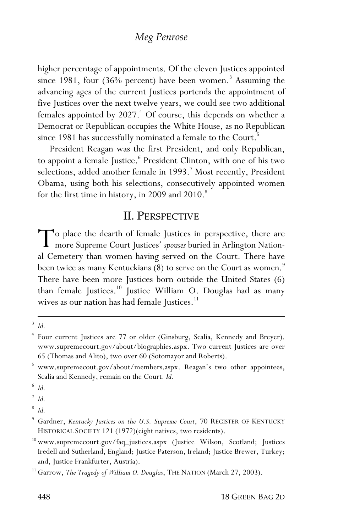#### *Meg Penrose*

higher percentage of appointments. Of the eleven Justices appointed since 1981, four  $(36\%$  percent) have been women.<sup>3</sup> Assuming the advancing ages of the current Justices portends the appointment of five Justices over the next twelve years, we could see two additional females appointed by 2027.<sup>4</sup> Of course, this depends on whether a Democrat or Republican occupies the White House, as no Republican since 1981 has successfully nominated a female to the Court.<sup>5</sup>

President Reagan was the first President, and only Republican, to appoint a female Justice.<sup>6</sup> President Clinton, with one of his two selections, added another female in 1993.<sup>7</sup> Most recently, President Obama, using both his selections, consecutively appointed women for the first time in history, in 2009 and 2010.<sup>8</sup>

#### II. PERSPECTIVE

o place the dearth of female Justices in perspective, there are To place the dearth of female Justices in perspective, there are<br>more Supreme Court Justices' *spouses* buried in Arlington National Compton:<br>A Court There have al Cemetery than women having served on the Court. There have been twice as many Kentuckians (8) to serve on the Court as women. $\degree$ There have been more Justices born outside the United States (6) than female Justices.<sup>10</sup> Justice William O. Douglas had as many wives as our nation has had female Justices.<sup>11</sup>

 $\overline{a}$ <sup>3</sup> *Id.*

<sup>4</sup> Four current Justices are 77 or older (Ginsburg, Scalia, Kennedy and Breyer). www.supremecourt.gov/about/biographies.aspx. Two current Justices are over 65 (Thomas and Alito), two over 60 (Sotomayor and Roberts).

<sup>5</sup> www.supremecout.gov/about/members.aspx. Reagan's two other appointees, Scalia and Kennedy, remain on the Court. *Id.*

<sup>6</sup> *Id.*

<sup>7</sup> *Id.*

<sup>8</sup> *Id.*

<sup>9</sup> Gardner, *Kentucky Justices on the U.S. Supreme Court*, 70 REGISTER OF KENTUCKY HISTORICAL SOCIETY 121 (1972)(eight natives, two residents).

<sup>&</sup>lt;sup>10</sup> www.supremecourt.gov/faq\_justices.aspx (Justice Wilson, Scotland; Justices Iredell and Sutherland, England; Justice Paterson, Ireland; Justice Brewer, Turkey; and, Justice Frankfurter, Austria).

<sup>&</sup>lt;sup>11</sup> Garrow, *The Tragedy of William O. Douglas*, THE NATION (March 27, 2003).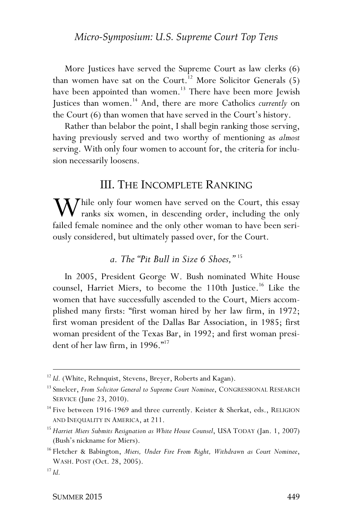More Justices have served the Supreme Court as law clerks (6) than women have sat on the Court.<sup>12</sup> More Solicitor Generals  $(5)$ have been appointed than women.<sup>13</sup> There have been more Jewish Justices than women.<sup>14</sup> And, there are more Catholics *currently* on the Court (6) than women that have served in the Court's history.

Rather than belabor the point, I shall begin ranking those serving, having previously served and two worthy of mentioning as *almost*  serving. With only four women to account for, the criteria for inclusion necessarily loosens.

#### III. THE INCOMPLETE RANKING

While only four women have served on the Court, this essay<br>
ranks six women, in descending order, including the only<br>
follod fomale nomines and the only other women to have been sories **V** ranks six women, in descending order, including the only failed female nominee and the only other woman to have been seriously considered, but ultimately passed over, for the Court.

#### *a. The "Pit Bull in Size 6 Shoes,"* <sup>15</sup>

In 2005, President George W. Bush nominated White House counsel, Harriet Miers, to become the 110th Justice.<sup>16</sup> Like the women that have successfully ascended to the Court, Miers accomplished many firsts: "first woman hired by her law firm, in 1972; first woman president of the Dallas Bar Association, in 1985; first woman president of the Texas Bar, in 1992; and first woman president of her law firm, in 1996."<sup>17</sup>

<u>.</u>

<sup>&</sup>lt;sup>12</sup> *Id.* (White, Rehnquist, Stevens, Breyer, Roberts and Kagan).

<sup>&</sup>lt;sup>13</sup> Smelcer, *From Solicitor General to Supreme Court Nominee*, CONGRESSIONAL RESEARCH SERVICE (June 23, 2010).

<sup>&</sup>lt;sup>14</sup> Five between 1916-1969 and three currently. Keister & Sherkat, eds., RELIGION AND INEQUALITY IN AMERICA, at 211.

<sup>15</sup> *Harriet Miers Submits Resignation as White House Counsel*, USA TODAY (Jan. 1, 2007) (Bush's nickname for Miers).

<sup>16</sup> Fletcher & Babington, *Miers, Under Fire From Right, Withdrawn as Court Nominee*, WASH. POST (Oct. 28, 2005). 17 *Id.*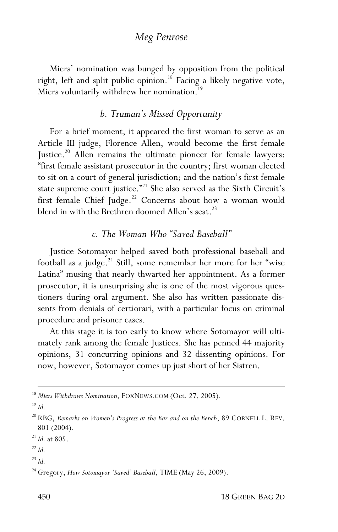#### *Meg Penrose*

Miers' nomination was bunged by opposition from the political right, left and split public opinion.<sup>18</sup> Facing a likely negative vote, Miers voluntarily withdrew her nomination.<sup>19</sup>

#### *b. Truman's Missed Opportunity*

For a brief moment, it appeared the first woman to serve as an Article III judge, Florence Allen, would become the first female Justice.<sup>20</sup> Allen remains the ultimate pioneer for female lawyers: "first female assistant prosecutor in the country; first woman elected to sit on a court of general jurisdiction; and the nation's first female state supreme court justice."<sup>21</sup> She also served as the Sixth Circuit's first female Chief Judge.<sup>22</sup> Concerns about how a woman would blend in with the Brethren doomed Allen's seat.<sup>23</sup>

#### *c. The Woman Who "Saved Baseball"*

Justice Sotomayor helped saved both professional baseball and football as a judge.<sup>24</sup> Still, some remember her more for her "wise Latina" musing that nearly thwarted her appointment. As a former prosecutor, it is unsurprising she is one of the most vigorous questioners during oral argument. She also has written passionate dissents from denials of certiorari, with a particular focus on criminal procedure and prisoner cases.

At this stage it is too early to know where Sotomayor will ultimately rank among the female Justices. She has penned 44 majority opinions, 31 concurring opinions and 32 dissenting opinions. For now, however, Sotomayor comes up just short of her Sistren.

 $\overline{a}$ 

<sup>18</sup> *Miers Withdraws Nomination*, FOXNEWS.COM (Oct. 27, 2005).

<sup>19</sup> *Id.*

<sup>20</sup> RBG, *Remarks on Women's Progress at the Bar and on the Bench*, 89 CORNELL L. REV. 801 (2004).

<sup>21</sup> *Id.* at 805.

 $^{22}$  *Id.* 

<sup>23</sup> *Id.*

<sup>&</sup>lt;sup>24</sup> Gregory, *How Sotomayor 'Saved' Baseball*, TIME (May 26, 2009).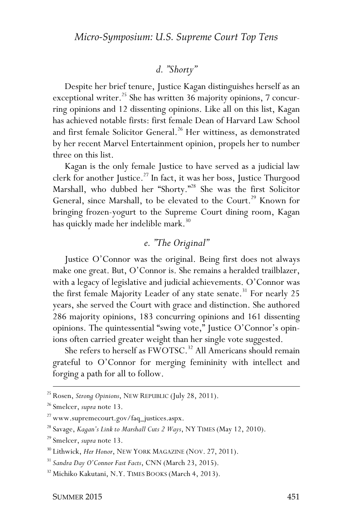#### *d. "Shorty"*

Despite her brief tenure, Justice Kagan distinguishes herself as an exceptional writer. <sup>25</sup> She has written 36 majority opinions, 7 concurring opinions and 12 dissenting opinions. Like all on this list, Kagan has achieved notable firsts: first female Dean of Harvard Law School and first female Solicitor General.<sup>26</sup> Her wittiness, as demonstrated by her recent Marvel Entertainment opinion, propels her to number three on this list.

Kagan is the only female Justice to have served as a judicial law clerk for another Justice.<sup>27</sup> In fact, it was her boss, Justice Thurgood Marshall, who dubbed her "Shorty."<sup>28</sup> She was the first Solicitor General, since Marshall, to be elevated to the Court.<sup>29</sup> Known for bringing frozen-yogurt to the Supreme Court dining room, Kagan has quickly made her indelible mark.<sup>30</sup>

#### *e. "The Original"*

Justice O'Connor was the original. Being first does not always make one great. But, O'Connor is. She remains a heralded trailblazer, with a legacy of legislative and judicial achievements. O'Connor was the first female Majority Leader of any state senate.<sup>31</sup> For nearly 25 years, she served the Court with grace and distinction. She authored 286 majority opinions, 183 concurring opinions and 161 dissenting opinions. The quintessential "swing vote," Justice O'Connor's opinions often carried greater weight than her single vote suggested.

She refers to herself as FWOTSC.<sup>32</sup> All Americans should remain grateful to O'Connor for merging femininity with intellect and forging a path for all to follow.

<u>.</u>

<sup>25</sup> Rosen, *Strong Opinions*, NEW REPUBLIC (July 28, 2011).

<sup>26</sup> Smelcer, *supra* note 13.

<sup>&</sup>lt;sup>27</sup> www.supremecourt.gov/faq\_justices.aspx.

<sup>28</sup> Savage, *Kagan's Link to Marshall Cuts 2 Ways*, NY TIMES (May 12, 2010).

<sup>29</sup> Smelcer, *supra* note 13.

<sup>&</sup>lt;sup>30</sup> Lithwick, *Her Honor*, NEW YORK MAGAZINE (NOV. 27, 2011).

<sup>31</sup> *Sandra Day O'Connor Fast Facts*, CNN (March 23, 2015).

<sup>32</sup> Michiko Kakutani, N.Y. TIMES BOOKS (March 4, 2013).